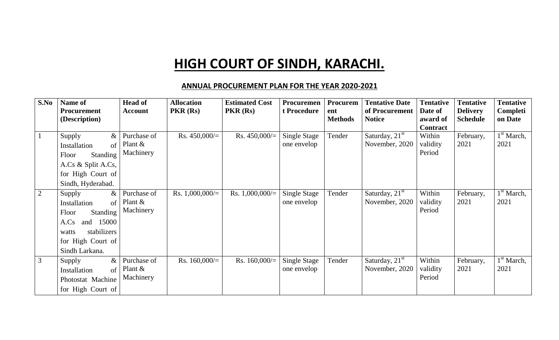## **HIGH COURT OF SINDH, KARACHI.**

## **ANNUAL PROCUREMENT PLAN FOR THE YEAR 2020-2021**

| S.No           | Name of<br><b>Procurement</b><br>(Description)                                                                                                | <b>Head of</b><br><b>Account</b>       | <b>Allocation</b><br>PKR(Rs) | <b>Estimated Cost</b><br>PKR(Rs) | Procuremen<br>t Procedure          | Procurem<br>ent<br><b>Methods</b> | <b>Tentative Date</b><br>of Procurement<br><b>Notice</b> | <b>Tentative</b><br>Date of<br>award of<br><b>Contract</b> | <b>Tentative</b><br><b>Delivery</b><br><b>Schedule</b> | <b>Tentative</b><br>Completi<br>on Date |
|----------------|-----------------------------------------------------------------------------------------------------------------------------------------------|----------------------------------------|------------------------------|----------------------------------|------------------------------------|-----------------------------------|----------------------------------------------------------|------------------------------------------------------------|--------------------------------------------------------|-----------------------------------------|
| $\mathbf{1}$   | Supply<br>$\&$<br>Installation<br>$\sigma$ f<br><b>Standing</b><br>Floor<br>A.Cs & Split A.Cs,<br>for High Court of<br>Sindh, Hyderabad.      | Purchase of<br>Plant $\&$<br>Machinery | Rs. $450,000/=$              | Rs. $450,000/$                   | <b>Single Stage</b><br>one envelop | Tender                            | Saturday, $21st$<br>November, 2020                       | Within<br>validity<br>Period                               | February,<br>2021                                      | $1st$ March,<br>2021                    |
| 2              | Supply<br>$\&$<br>of<br>Installation<br>Standing<br>Floor<br>and 15000<br>A.Cs<br>stabilizers<br>watts<br>for High Court of<br>Sindh Larkana. | Purchase of<br>Plant $\&$<br>Machinery | Rs. $1,000,000/=$            | Rs. $1,000,000/=$                | Single Stage<br>one envelop        | Tender                            | Saturday, $21st$<br>November, 2020                       | Within<br>validity<br>Period                               | February,<br>2021                                      | 1 <sup>st</sup> March,<br>2021          |
| $\mathfrak{Z}$ | $\&$<br>Supply<br>Installation<br>of<br>Photostat Machine<br>for High Court of                                                                | Purchase of<br>Plant $\&$<br>Machinery | Rs. $160,000/=$              | Rs. $160,000/$                   | <b>Single Stage</b><br>one envelop | Tender                            | Saturday, $21st$<br>November, 2020                       | Within<br>validity<br>Period                               | February,<br>2021                                      | 1 <sup>st</sup> March,<br>2021          |